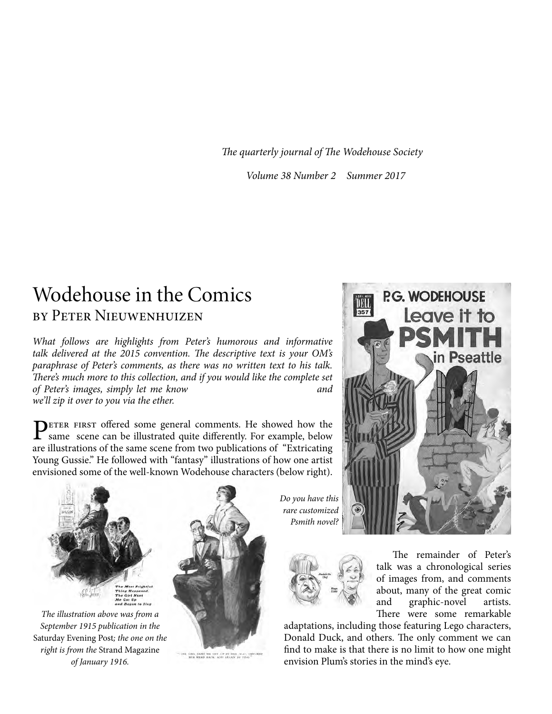*The quarterly journal of The Wodehouse Society*

*Volume 38 Number 2 Summer 2017*

### Wodehouse in the Comics by Peter Nieuwenhuizen

*What follows are highlights from Peter's humorous and informative talk delivered at the 2015 convention. The descriptive text is your OM's paraphrase of Peter's comments, as there was no written text to his talk. There's much more to this collection, and if you would like the complete set of Peter's images, simply let me know* and *and and we'll zip it over to you via the ether.* 

PETER FIRST offered some general comments. He showed how the same scene can be illustrated quite differently. For example, below are illustrations of the same scene from two publications of "Extricating Young Gussie." He followed with "fantasy" illustrations of how one artist envisioned some of the well-known Wodehouse characters (below right).



*The illustration above was from a September 1915 publication in the*  Saturday Evening Post*; the one on the right is from the* Strand Magazine *of January 1916.*



THE GOL SKKE ME DOT UP IN HER SEAT, UNICKED

*Do you have this rare customized Psmith novel?*



The remainder of Peter's talk was a chronological series of images from, and comments about, many of the great comic and graphic-novel artists. There were some remarkable

adaptations, including those featuring Lego characters, Donald Duck, and others. The only comment we can find to make is that there is no limit to how one might envision Plum's stories in the mind's eye.

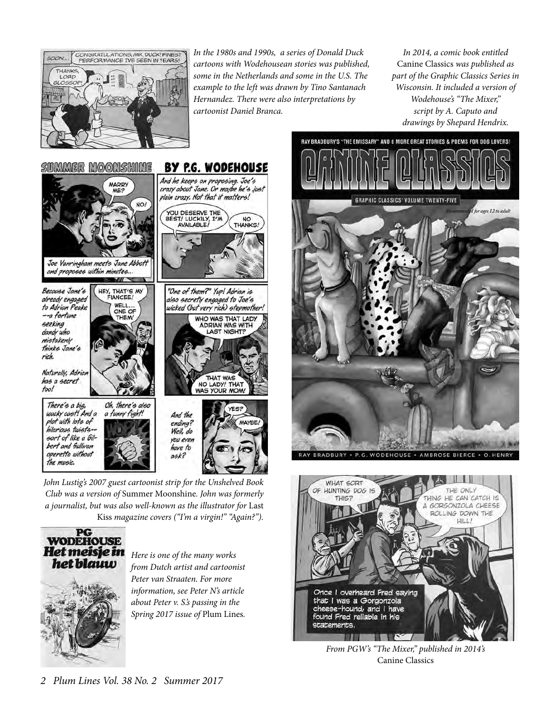

*In the 1980s and 1990s, a series of Donald Duck cartoons with Wodehousean stories was published, some in the Netherlands and some in the U.S. The example to the left was drawn by Tino Santanach Hernandez. There were also interpretations by cartoonist Daniel Branca.*

*In 2014, a comic book entitled*  Canine Classics *was published as part of the Graphic Classics Series in Wisconsin. It included a version of Wodehouse's "The Mixer," script by A. Caputo and drawings by Shepard Hendrix.*



*John Lustig's 2007 guest cartoonist strip for the Unshelved Book Club was a version of* Summer Moonshine*. John was formerly a journalist, but was also well-known as the illustrator for* Last Kiss *magazine covers ("I'm a virgin!" "Again?").*



*Here is one of the many works from Dutch artist and cartoonist Peter van Straaten. For more information, see Peter N's article about Peter v. S.'s passing in the Spring 2017 issue of* Plum Lines*.* 



RAY BRADBURY'S "THE EMISSARY" AND 8 MORE GREAT STORIES & POEMS FOR DOG LOVERS!

BRADBURY · P.G. WODEHOUSE · AMBROSE BIERCE · O. HENR'



*From PGW's "The Mixer," published in 2014's*  Canine Classics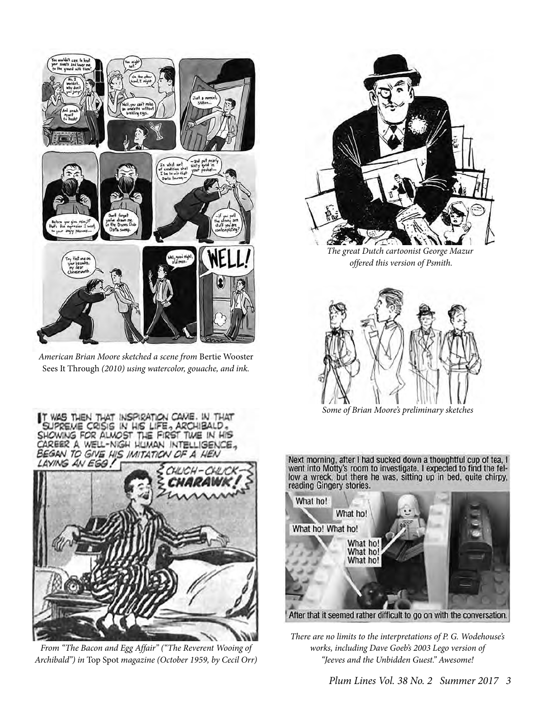

*American Brian Moore sketched a scene from* Bertie Wooster Sees It Through *(2010) using watercolor, gouache, and ink.*

WAS THEN THAT INSPIRATION CAVIE. IN THAT

SHOWING FOR ALMOST THE FIRST TWE IN HIS CAREER A WELL-NIGH HUMAN INTELLIGENCE, BEGAN TO GIVE HIS IMITATION OF A HEI

LAYING AN EGG!

IN HIS LIFE, ARCHIBALD



*The great Dutch cartoonist George Mazur offered this version of Psmith.*



*Some of Brian Moore's preliminary sketches* 

Next morning, after I had sucked down a thoughtful cup of tea, I went into Motty's room to investigate. I expected to find the fellow a wreck, but there he was, sitting up in bed, quite chirpy, reading Gingery stories.



*There are no limits to the interpretations of P. G. Wodehouse's works, including Dave Goeb's 2003 Lego version of "Jeeves and the Unbidden Guest." Awesome!*



 *Plum Lines Vol. 38 No. 2 Summer 2017 3*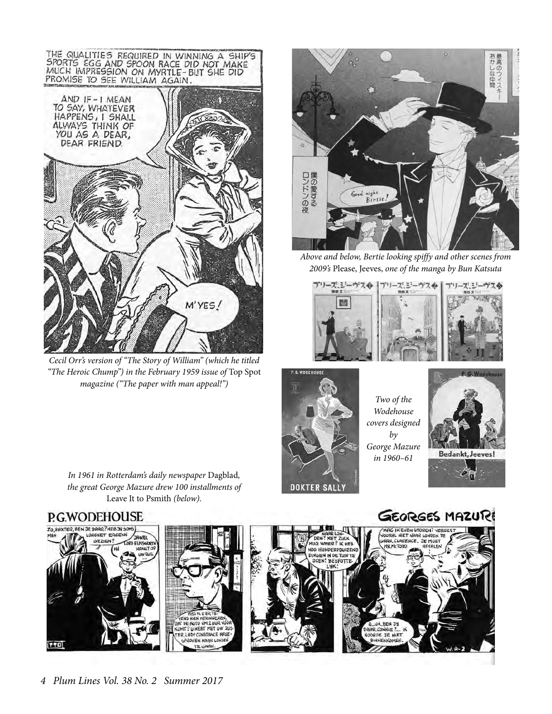

*Cecil Orr's version of "The Story of William" (which he titled "The Heroic Chump") in the February 1959 issue of* Top Spot *magazine ("The paper with man appeal!")*



*Above and below, Bertie looking spiffy and other scenes from 2009's* Please, Jeeves, *one of the manga by Bun Katsuta*





*Two of the Wodehouse covers designed by George Mazure in 1960–61*

**FC M38.** 

AAR, CONNIE ?.

OORDE JE NIET



76

*In 1961 in Rotterdam's daily newspaper* Dagblad*, the great George Mazure drew 100 installments of*  Leave It to Psmith *(below).*

### P.G.WODEHOUSE









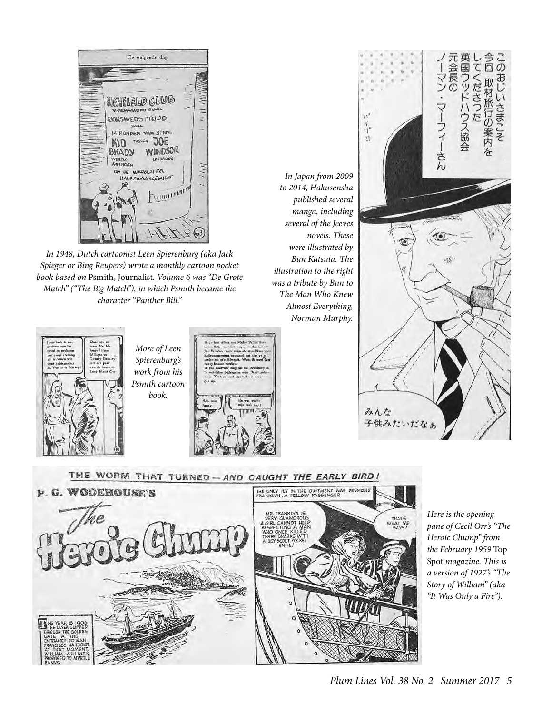

*In 1948, Dutch cartoonist Leen Spierenburg (aka Jack Spieger or Bing Reupers) wrote a monthly cartoon pocket book based on* Psmith, Journalist*. Volume 6 was "De Grote Match" ("The Big Match"), in which Psmith became the character "Panther Bill."*



*More of Leen Spierenburg's work from his Psmith cartoon book.*



*In Japan from 2009 to 2014, Hakusensha published several manga, including several of the Jeeves novels. These were illustrated by Bun Katsuta. The illustration to the right was a tribute by Bun to The Man Who Knew Almost Everything, Norman Murphy.*





*Here is the opening pane of Cecil Orr's "The Heroic Chump" from the February 1959* Top Spot *magazine. This is a version of 1927's "The Story of William" (aka "It Was Only a Fire").*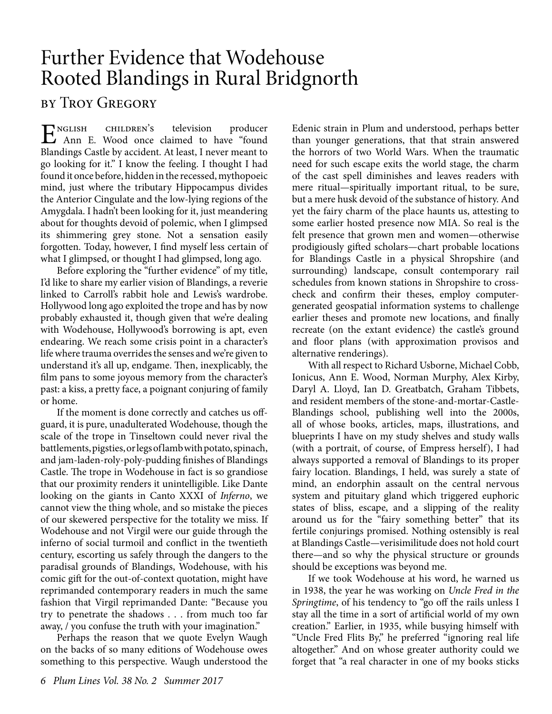## Further Evidence that Wodehouse Rooted Blandings in Rural Bridgnorth

### by Troy Gregory

English children's television producer Ann E. Wood once claimed to have "found Blandings Castle by accident. At least, I never meant to go looking for it." I know the feeling. I thought I had found it once before, hidden in the recessed, mythopoeic mind, just where the tributary Hippocampus divides the Anterior Cingulate and the low-lying regions of the Amygdala. I hadn't been looking for it, just meandering about for thoughts devoid of polemic, when I glimpsed its shimmering grey stone. Not a sensation easily forgotten. Today, however, I find myself less certain of what I glimpsed, or thought I had glimpsed, long ago.

Before exploring the "further evidence" of my title, I'd like to share my earlier vision of Blandings, a reverie linked to Carroll's rabbit hole and Lewis's wardrobe. Hollywood long ago exploited the trope and has by now probably exhausted it, though given that we're dealing with Wodehouse, Hollywood's borrowing is apt, even endearing. We reach some crisis point in a character's life where trauma overrides the senses and we're given to understand it's all up, endgame. Then, inexplicably, the film pans to some joyous memory from the character's past: a kiss, a pretty face, a poignant conjuring of family or home.

If the moment is done correctly and catches us offguard, it is pure, unadulterated Wodehouse, though the scale of the trope in Tinseltown could never rival the battlements, pigsties, or legs of lamb with potato, spinach, and jam-laden-roly-poly-pudding finishes of Blandings Castle. The trope in Wodehouse in fact is so grandiose that our proximity renders it unintelligible. Like Dante looking on the giants in Canto XXXI of *Inferno*, we cannot view the thing whole, and so mistake the pieces of our skewered perspective for the totality we miss. If Wodehouse and not Virgil were our guide through the inferno of social turmoil and conflict in the twentieth century, escorting us safely through the dangers to the paradisal grounds of Blandings, Wodehouse, with his comic gift for the out-of-context quotation, might have reprimanded contemporary readers in much the same fashion that Virgil reprimanded Dante: "Because you try to penetrate the shadows . . . from much too far away, / you confuse the truth with your imagination."

Perhaps the reason that we quote Evelyn Waugh on the backs of so many editions of Wodehouse owes something to this perspective. Waugh understood the

Edenic strain in Plum and understood, perhaps better than younger generations, that that strain answered the horrors of two World Wars. When the traumatic need for such escape exits the world stage, the charm of the cast spell diminishes and leaves readers with mere ritual—spiritually important ritual, to be sure, but a mere husk devoid of the substance of history. And yet the fairy charm of the place haunts us, attesting to some earlier hosted presence now MIA. So real is the felt presence that grown men and women—otherwise prodigiously gifted scholars—chart probable locations for Blandings Castle in a physical Shropshire (and surrounding) landscape, consult contemporary rail schedules from known stations in Shropshire to crosscheck and confirm their theses, employ computergenerated geospatial information systems to challenge earlier theses and promote new locations, and finally recreate (on the extant evidence) the castle's ground and floor plans (with approximation provisos and alternative renderings).

With all respect to Richard Usborne, Michael Cobb, Ionicus, Ann E. Wood, Norman Murphy, Alex Kirby, Daryl A. Lloyd, Ian D. Greatbatch, Graham Tibbets, and resident members of the stone-and-mortar-Castle-Blandings school, publishing well into the 2000s, all of whose books, articles, maps, illustrations, and blueprints I have on my study shelves and study walls (with a portrait, of course, of Empress herself), I had always supported a removal of Blandings to its proper fairy location. Blandings, I held, was surely a state of mind, an endorphin assault on the central nervous system and pituitary gland which triggered euphoric states of bliss, escape, and a slipping of the reality around us for the "fairy something better" that its fertile conjurings promised. Nothing ostensibly is real at Blandings Castle—verisimilitude does not hold court there—and so why the physical structure or grounds should be exceptions was beyond me.

If we took Wodehouse at his word, he warned us in 1938, the year he was working on *Uncle Fred in the Springtime*, of his tendency to "go off the rails unless I stay all the time in a sort of artificial world of my own creation." Earlier, in 1935, while busying himself with "Uncle Fred Flits By," he preferred "ignoring real life altogether." And on whose greater authority could we forget that "a real character in one of my books sticks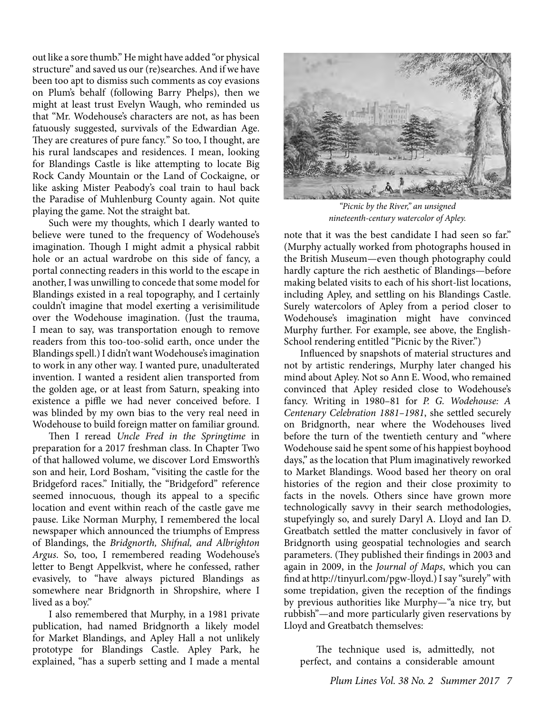out like a sore thumb." He might have added "or physical structure" and saved us our (re)searches. And if we have been too apt to dismiss such comments as coy evasions on Plum's behalf (following Barry Phelps), then we might at least trust Evelyn Waugh, who reminded us that "Mr. Wodehouse's characters are not, as has been fatuously suggested, survivals of the Edwardian Age. They are creatures of pure fancy." So too, I thought, are his rural landscapes and residences. I mean, looking for Blandings Castle is like attempting to locate Big Rock Candy Mountain or the Land of Cockaigne, or like asking Mister Peabody's coal train to haul back the Paradise of Muhlenburg County again. Not quite playing the game. Not the straight bat.

Such were my thoughts, which I dearly wanted to believe were tuned to the frequency of Wodehouse's imagination. Though I might admit a physical rabbit hole or an actual wardrobe on this side of fancy, a portal connecting readers in this world to the escape in another, I was unwilling to concede that some model for Blandings existed in a real topography, and I certainly couldn't imagine that model exerting a verisimilitude over the Wodehouse imagination. (Just the trauma, I mean to say, was transportation enough to remove readers from this too-too-solid earth, once under the Blandings spell.) I didn't want Wodehouse's imagination to work in any other way. I wanted pure, unadulterated invention. I wanted a resident alien transported from the golden age, or at least from Saturn, speaking into existence a piffle we had never conceived before. I was blinded by my own bias to the very real need in Wodehouse to build foreign matter on familiar ground.

Then I reread *Uncle Fred in the Springtime* in preparation for a 2017 freshman class. In Chapter Two of that hallowed volume, we discover Lord Emsworth's son and heir, Lord Bosham, "visiting the castle for the Bridgeford races." Initially, the "Bridgeford" reference seemed innocuous, though its appeal to a specific location and event within reach of the castle gave me pause. Like Norman Murphy, I remembered the local newspaper which announced the triumphs of Empress of Blandings, the *Bridgnorth, Shifnal, and Albrighton Argus*. So, too, I remembered reading Wodehouse's letter to Bengt Appelkvist, where he confessed, rather evasively, to "have always pictured Blandings as somewhere near Bridgnorth in Shropshire, where I lived as a boy."

I also remembered that Murphy, in a 1981 private publication, had named Bridgnorth a likely model for Market Blandings, and Apley Hall a not unlikely prototype for Blandings Castle. Apley Park, he explained, "has a superb setting and I made a mental



*"Picnic by the River," an unsigned nineteenth-century watercolor of Apley.* 

note that it was the best candidate I had seen so far." (Murphy actually worked from photographs housed in the British Museum—even though photography could hardly capture the rich aesthetic of Blandings—before making belated visits to each of his short-list locations, including Apley, and settling on his Blandings Castle. Surely watercolors of Apley from a period closer to Wodehouse's imagination might have convinced Murphy further. For example, see above, the English-School rendering entitled "Picnic by the River.")

Influenced by snapshots of material structures and not by artistic renderings, Murphy later changed his mind about Apley. Not so Ann E. Wood, who remained convinced that Apley resided close to Wodehouse's fancy. Writing in 1980–81 for *P. G. Wodehouse: A Centenary Celebration 1881–1981*, she settled securely on Bridgnorth, near where the Wodehouses lived before the turn of the twentieth century and "where Wodehouse said he spent some of his happiest boyhood days," as the location that Plum imaginatively reworked to Market Blandings. Wood based her theory on oral histories of the region and their close proximity to facts in the novels. Others since have grown more technologically savvy in their search methodologies, stupefyingly so, and surely Daryl A. Lloyd and Ian D. Greatbatch settled the matter conclusively in favor of Bridgnorth using geospatial technologies and search parameters. (They published their findings in 2003 and again in 2009, in the *Journal of Maps*, which you can find at http://tinyurl.com/pgw-lloyd.) I say "surely" with some trepidation, given the reception of the findings by previous authorities like Murphy—"a nice try, but rubbish"—and more particularly given reservations by Lloyd and Greatbatch themselves:

The technique used is, admittedly, not perfect, and contains a considerable amount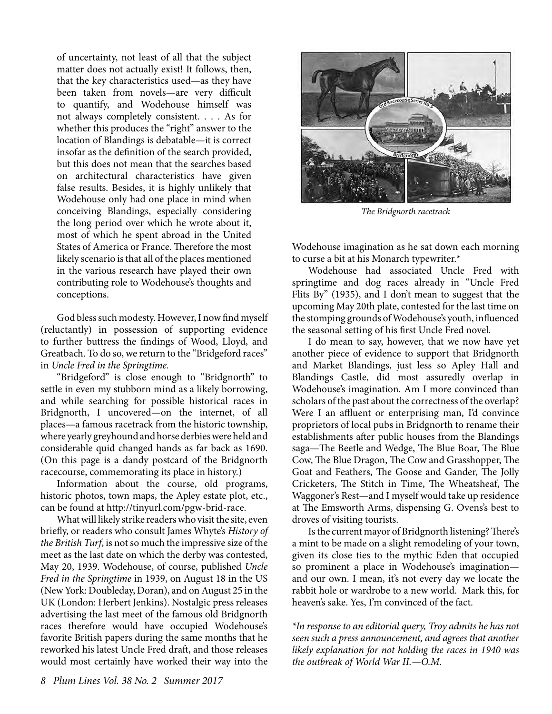of uncertainty, not least of all that the subject matter does not actually exist! It follows, then, that the key characteristics used—as they have been taken from novels—are very difficult to quantify, and Wodehouse himself was not always completely consistent. . . . As for whether this produces the "right" answer to the location of Blandings is debatable—it is correct insofar as the definition of the search provided, but this does not mean that the searches based on architectural characteristics have given false results. Besides, it is highly unlikely that Wodehouse only had one place in mind when conceiving Blandings, especially considering the long period over which he wrote about it, most of which he spent abroad in the United States of America or France. Therefore the most likely scenario is that all of the places mentioned in the various research have played their own contributing role to Wodehouse's thoughts and conceptions.

God bless such modesty. However, I now find myself (reluctantly) in possession of supporting evidence to further buttress the findings of Wood, Lloyd, and Greatbach. To do so, we return to the "Bridgeford races" in *Uncle Fred in the Springtime.*

"Bridgeford" is close enough to "Bridgnorth" to settle in even my stubborn mind as a likely borrowing, and while searching for possible historical races in Bridgnorth, I uncovered—on the internet, of all places—a famous racetrack from the historic township, where yearly greyhound and horse derbies were held and considerable quid changed hands as far back as 1690. (On this page is a dandy postcard of the Bridgnorth racecourse, commemorating its place in history.)

Information about the course, old programs, historic photos, town maps, the Apley estate plot, etc., can be found at http://tinyurl.com/pgw-brid-race.

What will likely strike readers who visit the site, even briefly, or readers who consult James Whyte's *History of the British Turf*, is not so much the impressive size of the meet as the last date on which the derby was contested, May 20, 1939. Wodehouse, of course, published *Uncle Fred in the Springtime* in 1939, on August 18 in the US (New York: Doubleday, Doran), and on August 25 in the UK (London: Herbert Jenkins). Nostalgic press releases advertising the last meet of the famous old Bridgnorth races therefore would have occupied Wodehouse's favorite British papers during the same months that he reworked his latest Uncle Fred draft, and those releases would most certainly have worked their way into the



*The Bridgnorth racetrack*

Wodehouse imagination as he sat down each morning to curse a bit at his Monarch typewriter.\*

Wodehouse had associated Uncle Fred with springtime and dog races already in "Uncle Fred Flits By" (1935), and I don't mean to suggest that the upcoming May 20th plate, contested for the last time on the stomping grounds of Wodehouse's youth, influenced the seasonal setting of his first Uncle Fred novel.

I do mean to say, however, that we now have yet another piece of evidence to support that Bridgnorth and Market Blandings, just less so Apley Hall and Blandings Castle, did most assuredly overlap in Wodehouse's imagination. Am I more convinced than scholars of the past about the correctness of the overlap? Were I an affluent or enterprising man, I'd convince proprietors of local pubs in Bridgnorth to rename their establishments after public houses from the Blandings saga—The Beetle and Wedge, The Blue Boar, The Blue Cow, The Blue Dragon, The Cow and Grasshopper, The Goat and Feathers, The Goose and Gander, The Jolly Cricketers, The Stitch in Time, The Wheatsheaf, The Waggoner's Rest—and I myself would take up residence at The Emsworth Arms, dispensing G. Ovens's best to droves of visiting tourists.

Is the current mayor of Bridgnorth listening? There's a mint to be made on a slight remodeling of your town, given its close ties to the mythic Eden that occupied so prominent a place in Wodehouse's imagination and our own. I mean, it's not every day we locate the rabbit hole or wardrobe to a new world. Mark this, for heaven's sake. Yes, I'm convinced of the fact.

*\*In response to an editorial query, Troy admits he has not seen such a press announcement, and agrees that another likely explanation for not holding the races in 1940 was the outbreak of World War II.—O.M.*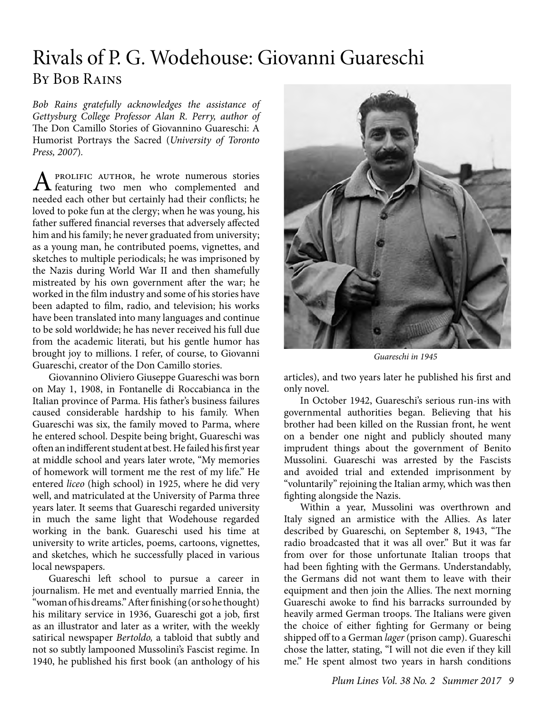### Rivals of P. G. Wodehouse: Giovanni Guareschi By Bob Rains

*Bob Rains gratefully acknowledges the assistance of Gettysburg College Professor Alan R. Perry, author of*  The Don Camillo Stories of Giovannino Guareschi: A Humorist Portrays the Sacred (*University of Toronto Press, 2007*)*.* 

A PROLIFIC AUTHOR, he wrote numerous stories<br>featuring two men who complemented and needed each other but certainly had their conflicts; he loved to poke fun at the clergy; when he was young, his father suffered financial reverses that adversely affected him and his family; he never graduated from university; as a young man, he contributed poems, vignettes, and sketches to multiple periodicals; he was imprisoned by the Nazis during World War II and then shamefully mistreated by his own government after the war; he worked in the film industry and some of his stories have been adapted to film, radio, and television; his works have been translated into many languages and continue to be sold worldwide; he has never received his full due from the academic literati, but his gentle humor has brought joy to millions. I refer, of course, to Giovanni Guareschi, creator of the Don Camillo stories.

Giovannino Oliviero Giuseppe Guareschi was born on May 1, 1908, in Fontanelle di Roccabianca in the Italian province of Parma. His father's business failures caused considerable hardship to his family. When Guareschi was six, the family moved to Parma, where he entered school. Despite being bright, Guareschi was often an indifferent student at best. He failed his first year at middle school and years later wrote, "My memories of homework will torment me the rest of my life." He entered *liceo* (high school) in 1925, where he did very well, and matriculated at the University of Parma three years later. It seems that Guareschi regarded university in much the same light that Wodehouse regarded working in the bank. Guareschi used his time at university to write articles, poems, cartoons, vignettes, and sketches, which he successfully placed in various local newspapers.

Guareschi left school to pursue a career in journalism. He met and eventually married Ennia, the "woman of his dreams." After finishing (or so he thought) his military service in 1936, Guareschi got a job, first as an illustrator and later as a writer, with the weekly satirical newspaper *Bertoldo,* a tabloid that subtly and not so subtly lampooned Mussolini's Fascist regime. In 1940, he published his first book (an anthology of his



*Guareschi in 1945*

articles), and two years later he published his first and only novel.

In October 1942, Guareschi's serious run-ins with governmental authorities began. Believing that his brother had been killed on the Russian front, he went on a bender one night and publicly shouted many imprudent things about the government of Benito Mussolini. Guareschi was arrested by the Fascists and avoided trial and extended imprisonment by "voluntarily" rejoining the Italian army, which was then fighting alongside the Nazis.

Within a year, Mussolini was overthrown and Italy signed an armistice with the Allies. As later described by Guareschi, on September 8, 1943, "The radio broadcasted that it was all over." But it was far from over for those unfortunate Italian troops that had been fighting with the Germans. Understandably, the Germans did not want them to leave with their equipment and then join the Allies. The next morning Guareschi awoke to find his barracks surrounded by heavily armed German troops. The Italians were given the choice of either fighting for Germany or being shipped off to a German *lager* (prison camp). Guareschi chose the latter, stating, "I will not die even if they kill me." He spent almost two years in harsh conditions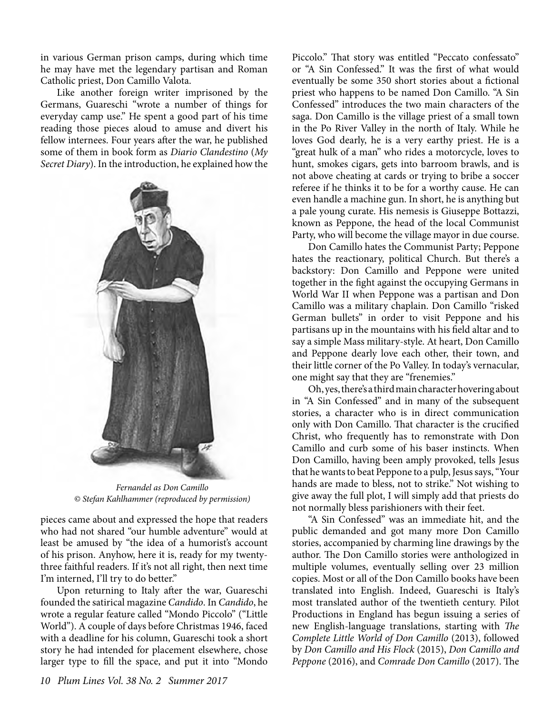in various German prison camps, during which time he may have met the legendary partisan and Roman Catholic priest, Don Camillo Valota.

Like another foreign writer imprisoned by the Germans, Guareschi "wrote a number of things for everyday camp use." He spent a good part of his time reading those pieces aloud to amuse and divert his fellow internees. Four years after the war, he published some of them in book form as *Diario Clandestino* (*My Secret Diary*). In the introduction, he explained how the



*Fernandel as Don Camillo © Stefan Kahlhammer (reproduced by permission)*

pieces came about and expressed the hope that readers who had not shared "our humble adventure" would at least be amused by "the idea of a humorist's account of his prison. Anyhow, here it is, ready for my twentythree faithful readers. If it's not all right, then next time I'm interned, I'll try to do better."

Upon returning to Italy after the war, Guareschi founded the satirical magazine *Candido*. In *Candido*, he wrote a regular feature called "Mondo Piccolo" ("Little World"). A couple of days before Christmas 1946, faced with a deadline for his column, Guareschi took a short story he had intended for placement elsewhere, chose larger type to fill the space, and put it into "Mondo

Piccolo." That story was entitled "Peccato confessato" or "A Sin Confessed." It was the first of what would eventually be some 350 short stories about a fictional priest who happens to be named Don Camillo. "A Sin Confessed" introduces the two main characters of the saga. Don Camillo is the village priest of a small town in the Po River Valley in the north of Italy. While he loves God dearly, he is a very earthy priest. He is a "great hulk of a man" who rides a motorcycle, loves to hunt, smokes cigars, gets into barroom brawls, and is not above cheating at cards or trying to bribe a soccer referee if he thinks it to be for a worthy cause. He can even handle a machine gun. In short, he is anything but a pale young curate. His nemesis is Giuseppe Bottazzi, known as Peppone, the head of the local Communist Party, who will become the village mayor in due course.

Don Camillo hates the Communist Party; Peppone hates the reactionary, political Church. But there's a backstory: Don Camillo and Peppone were united together in the fight against the occupying Germans in World War II when Peppone was a partisan and Don Camillo was a military chaplain. Don Camillo "risked German bullets" in order to visit Peppone and his partisans up in the mountains with his field altar and to say a simple Mass military-style. At heart, Don Camillo and Peppone dearly love each other, their town, and their little corner of the Po Valley. In today's vernacular, one might say that they are "frenemies."

Oh, yes, there's a third main character hovering about in "A Sin Confessed" and in many of the subsequent stories, a character who is in direct communication only with Don Camillo. That character is the crucified Christ, who frequently has to remonstrate with Don Camillo and curb some of his baser instincts. When Don Camillo, having been amply provoked, tells Jesus that he wants to beat Peppone to a pulp, Jesus says, "Your hands are made to bless, not to strike." Not wishing to give away the full plot, I will simply add that priests do not normally bless parishioners with their feet.

"A Sin Confessed" was an immediate hit, and the public demanded and got many more Don Camillo stories, accompanied by charming line drawings by the author. The Don Camillo stories were anthologized in multiple volumes, eventually selling over 23 million copies. Most or all of the Don Camillo books have been translated into English. Indeed, Guareschi is Italy's most translated author of the twentieth century. Pilot Productions in England has begun issuing a series of new English-language translations, starting with *The Complete Little World of Don Camillo* (2013), followed by *Don Camillo and His Flock* (2015), *Don Camillo and Peppone* (2016), and *Comrade Don Camillo* (2017). The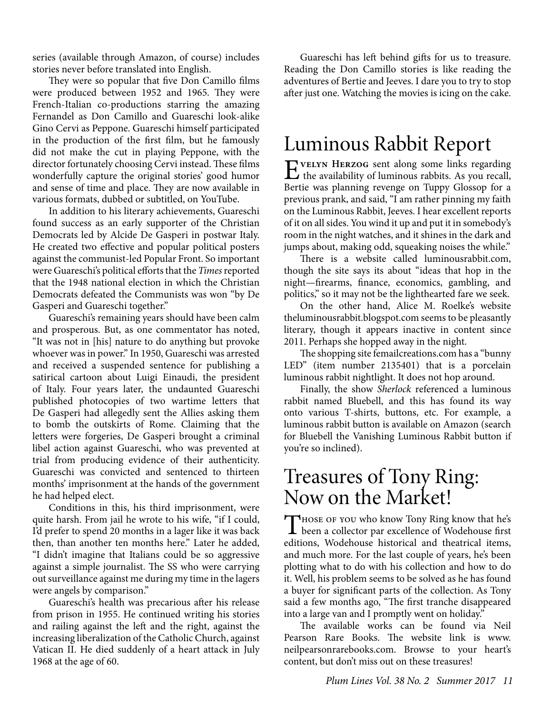series (available through Amazon, of course) includes stories never before translated into English.

They were so popular that five Don Camillo films were produced between 1952 and 1965. They were French-Italian co-productions starring the amazing Fernandel as Don Camillo and Guareschi look-alike Gino Cervi as Peppone. Guareschi himself participated in the production of the first film, but he famously did not make the cut in playing Peppone, with the director fortunately choosing Cervi instead. These films wonderfully capture the original stories' good humor and sense of time and place. They are now available in various formats, dubbed or subtitled, on YouTube.

In addition to his literary achievements, Guareschi found success as an early supporter of the Christian Democrats led by Alcide De Gasperi in postwar Italy. He created two effective and popular political posters against the communist-led Popular Front. So important were Guareschi's political efforts that the *Times* reported that the 1948 national election in which the Christian Democrats defeated the Communists was won "by De Gasperi and Guareschi together."

Guareschi's remaining years should have been calm and prosperous. But, as one commentator has noted, "It was not in [his] nature to do anything but provoke whoever was in power." In 1950, Guareschi was arrested and received a suspended sentence for publishing a satirical cartoon about Luigi Einaudi, the president of Italy. Four years later, the undaunted Guareschi published photocopies of two wartime letters that De Gasperi had allegedly sent the Allies asking them to bomb the outskirts of Rome. Claiming that the letters were forgeries, De Gasperi brought a criminal libel action against Guareschi, who was prevented at trial from producing evidence of their authenticity. Guareschi was convicted and sentenced to thirteen months' imprisonment at the hands of the government he had helped elect.

Conditions in this, his third imprisonment, were quite harsh. From jail he wrote to his wife, "if I could, I'd prefer to spend 20 months in a lager like it was back then, than another ten months here." Later he added, "I didn't imagine that Italians could be so aggressive against a simple journalist. The SS who were carrying out surveillance against me during my time in the lagers were angels by comparison."

Guareschi's health was precarious after his release from prison in 1955. He continued writing his stories and railing against the left and the right, against the increasing liberalization of the Catholic Church, against Vatican II. He died suddenly of a heart attack in July 1968 at the age of 60.

Guareschi has left behind gifts for us to treasure. Reading the Don Camillo stories is like reading the adventures of Bertie and Jeeves. I dare you to try to stop after just one. Watching the movies is icing on the cake.

## Luminous Rabbit Report

EVELYN HERZOG sent along some links regarding<br>the availability of luminous rabbits. As you recall, Bertie was planning revenge on Tuppy Glossop for a previous prank, and said, "I am rather pinning my faith on the Luminous Rabbit, Jeeves. I hear excellent reports of it on all sides. You wind it up and put it in somebody's room in the night watches, and it shines in the dark and jumps about, making odd, squeaking noises the while."

There is a website called luminousrabbit.com, though the site says its about "ideas that hop in the night—firearms, finance, economics, gambling, and politics," so it may not be the lighthearted fare we seek.

On the other hand, Alice M. Roelke's website theluminousrabbit.blogspot.com seems to be pleasantly literary, though it appears inactive in content since 2011. Perhaps she hopped away in the night.

The shopping site femailcreations.com has a "bunny LED" (item number 2135401) that is a porcelain luminous rabbit nightlight. It does not hop around.

Finally, the show *Sherlock* referenced a luminous rabbit named Bluebell, and this has found its way onto various T-shirts, buttons, etc. For example, a luminous rabbit button is available on Amazon (search for Bluebell the Vanishing Luminous Rabbit button if you're so inclined).

### Treasures of Tony Ring: Now on the Market!

Those of you who know Tony Ring know that he's<br>been a collector par excellence of Wodehouse first editions, Wodehouse historical and theatrical items, and much more. For the last couple of years, he's been plotting what to do with his collection and how to do it. Well, his problem seems to be solved as he has found a buyer for significant parts of the collection. As Tony said a few months ago, "The first tranche disappeared into a large van and I promptly went on holiday."

The available works can be found via Neil Pearson Rare Books. The website link is www. neilpearsonrarebooks.com. Browse to your heart's content, but don't miss out on these treasures!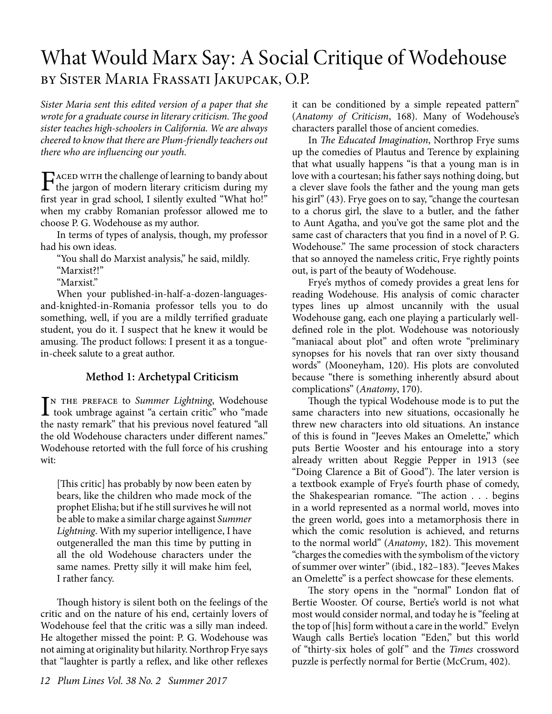### What Would Marx Say: A Social Critique of Wodehouse by Sister Maria Frassati Jakupcak, O.P.

*Sister Maria sent this edited version of a paper that she wrote for a graduate course in literary criticism. The good sister teaches high-schoolers in California. We are always cheered to know that there are Plum-friendly teachers out there who are influencing our youth.*

FACED WITH the challenge of learning to bandy about<br>the jargon of modern literary criticism during my first year in grad school, I silently exulted "What ho!" when my crabby Romanian professor allowed me to choose P. G. Wodehouse as my author.

In terms of types of analysis, though, my professor had his own ideas.

"You shall do Marxist analysis," he said, mildly.

"Marxist?!"

"Marxist."

When your published-in-half-a-dozen-languagesand-knighted-in-Romania professor tells you to do something, well, if you are a mildly terrified graduate student, you do it. I suspect that he knew it would be amusing. The product follows: I present it as a tonguein-cheek salute to a great author.

#### **Method 1: Archetypal Criticism**

IN THE PREFACE to Summer Lightning, Wodehouse<br>took umbrage against "a certain critic" who "made n the preface to *Summer Lightning*, Wodehouse the nasty remark" that his previous novel featured "all the old Wodehouse characters under different names." Wodehouse retorted with the full force of his crushing wit:

[This critic] has probably by now been eaten by bears, like the children who made mock of the prophet Elisha; but if he still survives he will not be able to make a similar charge against *Summer Lightning*. With my superior intelligence, I have outgeneralled the man this time by putting in all the old Wodehouse characters under the same names. Pretty silly it will make him feel, I rather fancy.

Though history is silent both on the feelings of the critic and on the nature of his end, certainly lovers of Wodehouse feel that the critic was a silly man indeed. He altogether missed the point: P. G. Wodehouse was not aiming at originality but hilarity. Northrop Frye says that "laughter is partly a reflex, and like other reflexes

In *The Educated Imagination*, Northrop Frye sums up the comedies of Plautus and Terence by explaining that what usually happens "is that a young man is in love with a courtesan; his father says nothing doing, but a clever slave fools the father and the young man gets his girl" (43). Frye goes on to say, "change the courtesan to a chorus girl, the slave to a butler, and the father to Aunt Agatha, and you've got the same plot and the same cast of characters that you find in a novel of P. G. Wodehouse." The same procession of stock characters that so annoyed the nameless critic, Frye rightly points out, is part of the beauty of Wodehouse.

Frye's mythos of comedy provides a great lens for reading Wodehouse. His analysis of comic character types lines up almost uncannily with the usual Wodehouse gang, each one playing a particularly welldefined role in the plot. Wodehouse was notoriously "maniacal about plot" and often wrote "preliminary synopses for his novels that ran over sixty thousand words" (Mooneyham, 120). His plots are convoluted because "there is something inherently absurd about complications" (*Anatomy*, 170).

Though the typical Wodehouse mode is to put the same characters into new situations, occasionally he threw new characters into old situations. An instance of this is found in "Jeeves Makes an Omelette," which puts Bertie Wooster and his entourage into a story already written about Reggie Pepper in 1913 (see "Doing Clarence a Bit of Good"). The later version is a textbook example of Frye's fourth phase of comedy, the Shakespearian romance. "The action . . . begins in a world represented as a normal world, moves into the green world, goes into a metamorphosis there in which the comic resolution is achieved, and returns to the normal world" (*Anatomy*, 182). This movement "charges the comedies with the symbolism of the victory of summer over winter" (ibid., 182–183). "Jeeves Makes an Omelette" is a perfect showcase for these elements.

The story opens in the "normal" London flat of Bertie Wooster. Of course, Bertie's world is not what most would consider normal, and today he is "feeling at the top of [his] form without a care in the world." Evelyn Waugh calls Bertie's location "Eden," but this world of "thirty-six holes of golf " and the *Times* crossword puzzle is perfectly normal for Bertie (McCrum, 402).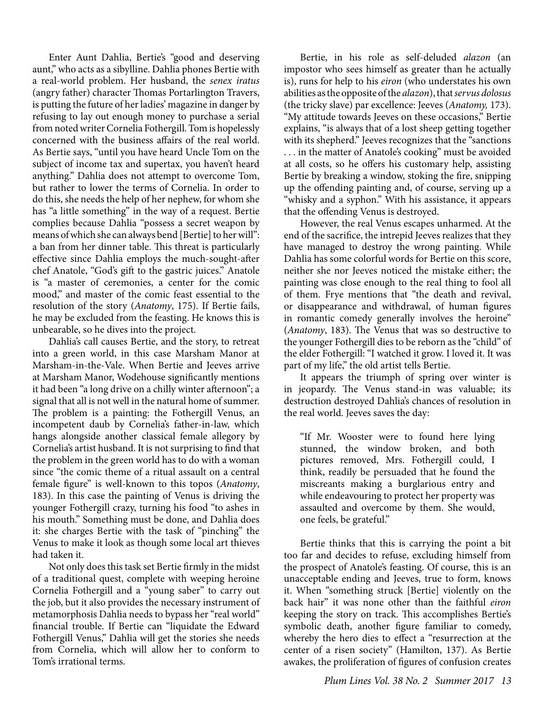Enter Aunt Dahlia, Bertie's "good and deserving aunt," who acts as a sibylline. Dahlia phones Bertie with a real-world problem. Her husband, the *senex iratus*  (angry father) character Thomas Portarlington Travers, is putting the future of her ladies' magazine in danger by refusing to lay out enough money to purchase a serial from noted writer Cornelia Fothergill. Tom is hopelessly concerned with the business affairs of the real world. As Bertie says, "until you have heard Uncle Tom on the subject of income tax and supertax, you haven't heard anything." Dahlia does not attempt to overcome Tom, but rather to lower the terms of Cornelia. In order to do this, she needs the help of her nephew, for whom she has "a little something" in the way of a request. Bertie complies because Dahlia "possess a secret weapon by means of which she can always bend [Bertie] to her will": a ban from her dinner table. This threat is particularly effective since Dahlia employs the much-sought-after chef Anatole, "God's gift to the gastric juices." Anatole is "a master of ceremonies, a center for the comic mood," and master of the comic feast essential to the resolution of the story (*Anatomy*, 175). If Bertie fails, he may be excluded from the feasting. He knows this is unbearable, so he dives into the project.

Dahlia's call causes Bertie, and the story, to retreat into a green world, in this case Marsham Manor at Marsham-in-the-Vale. When Bertie and Jeeves arrive at Marsham Manor, Wodehouse significantly mentions it had been "a long drive on a chilly winter afternoon"; a signal that all is not well in the natural home of summer. The problem is a painting: the Fothergill Venus, an incompetent daub by Cornelia's father-in-law, which hangs alongside another classical female allegory by Cornelia's artist husband. It is not surprising to find that the problem in the green world has to do with a woman since "the comic theme of a ritual assault on a central female figure" is well-known to this topos (*Anatomy*, 183). In this case the painting of Venus is driving the younger Fothergill crazy, turning his food "to ashes in his mouth." Something must be done, and Dahlia does it: she charges Bertie with the task of "pinching" the Venus to make it look as though some local art thieves had taken it.

Not only does this task set Bertie firmly in the midst of a traditional quest, complete with weeping heroine Cornelia Fothergill and a "young saber" to carry out the job, but it also provides the necessary instrument of metamorphosis Dahlia needs to bypass her "real world" financial trouble. If Bertie can "liquidate the Edward Fothergill Venus," Dahlia will get the stories she needs from Cornelia, which will allow her to conform to Tom's irrational terms.

Bertie, in his role as self-deluded *alazon* (an impostor who sees himself as greater than he actually is), runs for help to his *eiron* (who understates his own abilities as the opposite of the *alazon*), that *servus dolosus*  (the tricky slave) par excellence: Jeeves (*Anatomy,* 173). "My attitude towards Jeeves on these occasions," Bertie explains, "is always that of a lost sheep getting together with its shepherd." Jeeves recognizes that the "sanctions" . . . in the matter of Anatole's cooking" must be avoided at all costs, so he offers his customary help, assisting Bertie by breaking a window, stoking the fire, snipping up the offending painting and, of course, serving up a "whisky and a syphon." With his assistance, it appears that the offending Venus is destroyed.

However, the real Venus escapes unharmed. At the end of the sacrifice, the intrepid Jeeves realizes that they have managed to destroy the wrong painting. While Dahlia has some colorful words for Bertie on this score, neither she nor Jeeves noticed the mistake either; the painting was close enough to the real thing to fool all of them. Frye mentions that "the death and revival, or disappearance and withdrawal, of human figures in romantic comedy generally involves the heroine" (*Anatomy*, 183). The Venus that was so destructive to the younger Fothergill dies to be reborn as the "child" of the elder Fothergill: "I watched it grow. I loved it. It was part of my life," the old artist tells Bertie.

It appears the triumph of spring over winter is in jeopardy. The Venus stand-in was valuable; its destruction destroyed Dahlia's chances of resolution in the real world. Jeeves saves the day:

"If Mr. Wooster were to found here lying stunned, the window broken, and both pictures removed, Mrs. Fothergill could, I think, readily be persuaded that he found the miscreants making a burglarious entry and while endeavouring to protect her property was assaulted and overcome by them. She would, one feels, be grateful."

Bertie thinks that this is carrying the point a bit too far and decides to refuse, excluding himself from the prospect of Anatole's feasting. Of course, this is an unacceptable ending and Jeeves, true to form, knows it. When "something struck [Bertie] violently on the back hair" it was none other than the faithful *eiron*  keeping the story on track. This accomplishes Bertie's symbolic death, another figure familiar to comedy, whereby the hero dies to effect a "resurrection at the center of a risen society" (Hamilton, 137). As Bertie awakes, the proliferation of figures of confusion creates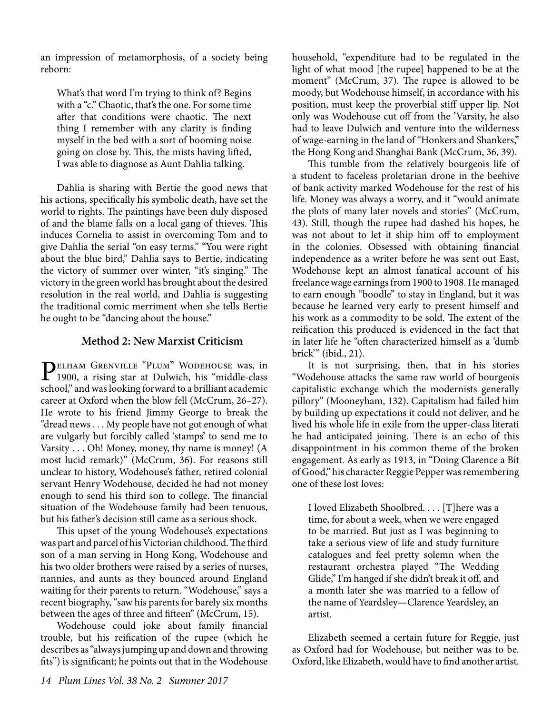an impression of metamorphosis, of a society being reborn:

What's that word I'm trying to think of? Begins with a "c." Chaotic, that's the one. For some time after that conditions were chaotic. The next thing I remember with any clarity is finding myself in the bed with a sort of booming noise going on close by. This, the mists having lifted, I was able to diagnose as Aunt Dahlia talking.

Dahlia is sharing with Bertie the good news that his actions, specifically his symbolic death, have set the world to rights. The paintings have been duly disposed of and the blame falls on a local gang of thieves. This induces Cornelia to assist in overcoming Tom and to give Dahlia the serial "on easy terms." "You were right about the blue bird," Dahlia says to Bertie, indicating the victory of summer over winter, "it's singing." The victory in the green world has brought about the desired resolution in the real world, and Dahlia is suggesting the traditional comic merriment when she tells Bertie he ought to be "dancing about the house."

#### **Method 2: New Marxist Criticism**

PELHAM GRENVILLE "PLUM" WODEHOUSE was, in<br>1900, a rising star at Dulwich, his "middle-class" school," and was looking forward to a brilliant academic career at Oxford when the blow fell (McCrum, 26–27). He wrote to his friend Jimmy George to break the "dread news . . . My people have not got enough of what are vulgarly but forcibly called 'stamps' to send me to Varsity . . . Oh! Money, money, thy name is money! (A most lucid remark)" (McCrum, 36). For reasons still unclear to history, Wodehouse's father, retired colonial servant Henry Wodehouse, decided he had not money enough to send his third son to college. The financial situation of the Wodehouse family had been tenuous, but his father's decision still came as a serious shock.

This upset of the young Wodehouse's expectations was part and parcel of his Victorian childhood. The third son of a man serving in Hong Kong, Wodehouse and his two older brothers were raised by a series of nurses, nannies, and aunts as they bounced around England waiting for their parents to return. "Wodehouse," says a recent biography, "saw his parents for barely six months between the ages of three and fifteen" (McCrum, 15).

Wodehouse could joke about family financial trouble, but his reification of the rupee (which he describes as "always jumping up and down and throwing fits") is significant; he points out that in the Wodehouse

household, "expenditure had to be regulated in the light of what mood [the rupee] happened to be at the moment" (McCrum, 37). The rupee is allowed to be moody, but Wodehouse himself, in accordance with his position, must keep the proverbial stiff upper lip. Not only was Wodehouse cut off from the 'Varsity, he also had to leave Dulwich and venture into the wilderness of wage-earning in the land of "Honkers and Shankers," the Hong Kong and Shanghai Bank (McCrum, 36, 39).

This tumble from the relatively bourgeois life of a student to faceless proletarian drone in the beehive of bank activity marked Wodehouse for the rest of his life. Money was always a worry, and it "would animate the plots of many later novels and stories" (McCrum, 43). Still, though the rupee had dashed his hopes, he was not about to let it ship him off to employment in the colonies. Obsessed with obtaining financial independence as a writer before he was sent out East, Wodehouse kept an almost fanatical account of his freelance wage earnings from 1900 to 1908. He managed to earn enough "boodle" to stay in England, but it was because he learned very early to present himself and his work as a commodity to be sold. The extent of the reification this produced is evidenced in the fact that in later life he "often characterized himself as a 'dumb brick'" (ibid., 21).

It is not surprising, then, that in his stories "Wodehouse attacks the same raw world of bourgeois capitalistic exchange which the modernists generally pillory" (Mooneyham, 132). Capitalism had failed him by building up expectations it could not deliver, and he lived his whole life in exile from the upper-class literati he had anticipated joining. There is an echo of this disappointment in his common theme of the broken engagement. As early as 1913, in "Doing Clarence a Bit of Good," his character Reggie Pepper was remembering one of these lost loves:

I loved Elizabeth Shoolbred. . . . [T]here was a time, for about a week, when we were engaged to be married. But just as I was beginning to take a serious view of life and study furniture catalogues and feel pretty solemn when the restaurant orchestra played "The Wedding Glide," I'm hanged if she didn't break it off, and a month later she was married to a fellow of the name of Yeardsley—Clarence Yeardsley, an artist.

Elizabeth seemed a certain future for Reggie, just as Oxford had for Wodehouse, but neither was to be. Oxford, like Elizabeth, would have to find another artist.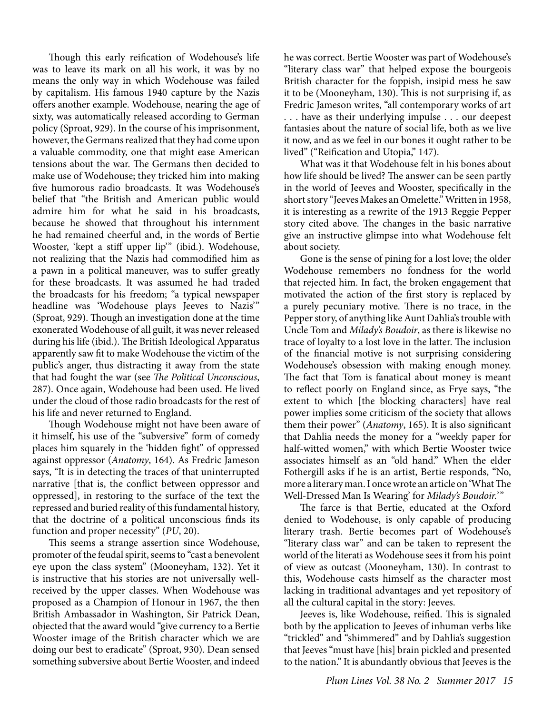Though this early reification of Wodehouse's life was to leave its mark on all his work, it was by no means the only way in which Wodehouse was failed by capitalism. His famous 1940 capture by the Nazis offers another example. Wodehouse, nearing the age of sixty, was automatically released according to German policy (Sproat, 929). In the course of his imprisonment, however, the Germans realized that they had come upon a valuable commodity, one that might ease American tensions about the war. The Germans then decided to make use of Wodehouse; they tricked him into making five humorous radio broadcasts. It was Wodehouse's belief that "the British and American public would admire him for what he said in his broadcasts, because he showed that throughout his internment he had remained cheerful and, in the words of Bertie Wooster, 'kept a stiff upper lip'" (ibid.). Wodehouse, not realizing that the Nazis had commodified him as a pawn in a political maneuver, was to suffer greatly for these broadcasts. It was assumed he had traded the broadcasts for his freedom; "a typical newspaper headline was 'Wodehouse plays Jeeves to Nazis'" (Sproat, 929). Though an investigation done at the time exonerated Wodehouse of all guilt, it was never released during his life (ibid.). The British Ideological Apparatus apparently saw fit to make Wodehouse the victim of the public's anger, thus distracting it away from the state that had fought the war (see *The Political Unconscious*, 287). Once again, Wodehouse had been used. He lived under the cloud of those radio broadcasts for the rest of his life and never returned to England.

Though Wodehouse might not have been aware of it himself, his use of the "subversive" form of comedy places him squarely in the 'hidden fight" of oppressed against oppressor (*Anatomy*, 164). As Fredric Jameson says, "It is in detecting the traces of that uninterrupted narrative [that is, the conflict between oppressor and oppressed], in restoring to the surface of the text the repressed and buried reality of this fundamental history, that the doctrine of a political unconscious finds its function and proper necessity" (*PU*, 20).

This seems a strange assertion since Wodehouse, promoter of the feudal spirit, seems to "cast a benevolent eye upon the class system" (Mooneyham, 132). Yet it is instructive that his stories are not universally wellreceived by the upper classes. When Wodehouse was proposed as a Champion of Honour in 1967, the then British Ambassador in Washington, Sir Patrick Dean, objected that the award would "give currency to a Bertie Wooster image of the British character which we are doing our best to eradicate" (Sproat, 930). Dean sensed something subversive about Bertie Wooster, and indeed he was correct. Bertie Wooster was part of Wodehouse's "literary class war" that helped expose the bourgeois British character for the foppish, insipid mess he saw it to be (Mooneyham, 130). This is not surprising if, as Fredric Jameson writes, "all contemporary works of art . . . have as their underlying impulse . . . our deepest fantasies about the nature of social life, both as we live it now, and as we feel in our bones it ought rather to be lived" ("Reification and Utopia," 147).

What was it that Wodehouse felt in his bones about how life should be lived? The answer can be seen partly in the world of Jeeves and Wooster, specifically in the short story "Jeeves Makes an Omelette." Written in 1958, it is interesting as a rewrite of the 1913 Reggie Pepper story cited above. The changes in the basic narrative give an instructive glimpse into what Wodehouse felt about society.

Gone is the sense of pining for a lost love; the older Wodehouse remembers no fondness for the world that rejected him. In fact, the broken engagement that motivated the action of the first story is replaced by a purely pecuniary motive. There is no trace, in the Pepper story, of anything like Aunt Dahlia's trouble with Uncle Tom and *Milady's Boudoir*, as there is likewise no trace of loyalty to a lost love in the latter. The inclusion of the financial motive is not surprising considering Wodehouse's obsession with making enough money. The fact that Tom is fanatical about money is meant to reflect poorly on England since, as Frye says, "the extent to which [the blocking characters] have real power implies some criticism of the society that allows them their power" (*Anatomy*, 165). It is also significant that Dahlia needs the money for a "weekly paper for half-witted women," with which Bertie Wooster twice associates himself as an "old hand." When the elder Fothergill asks if he is an artist, Bertie responds, "No, more a literary man. I once wrote an article on 'What The Well-Dressed Man Is Wearing' for *Milady's Boudoir.*'"

The farce is that Bertie, educated at the Oxford denied to Wodehouse, is only capable of producing literary trash. Bertie becomes part of Wodehouse's "literary class war" and can be taken to represent the world of the literati as Wodehouse sees it from his point of view as outcast (Mooneyham, 130). In contrast to this, Wodehouse casts himself as the character most lacking in traditional advantages and yet repository of all the cultural capital in the story: Jeeves.

Jeeves is, like Wodehouse, reified. This is signaled both by the application to Jeeves of inhuman verbs like "trickled" and "shimmered" and by Dahlia's suggestion that Jeeves "must have [his] brain pickled and presented to the nation." It is abundantly obvious that Jeeves is the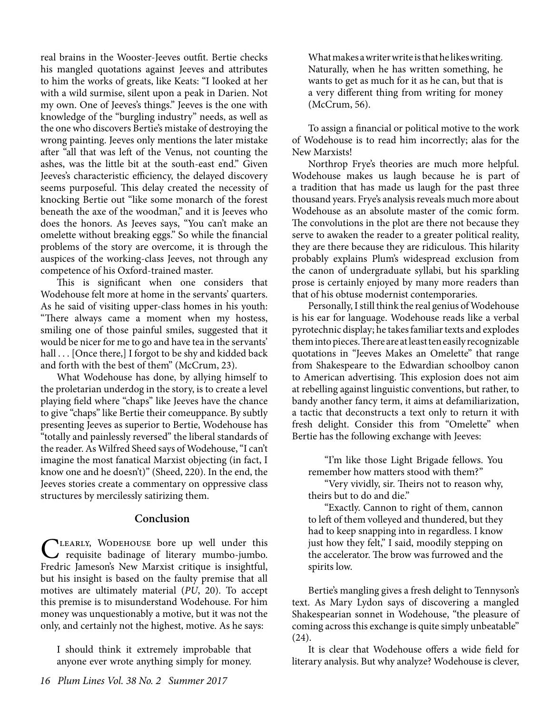real brains in the Wooster-Jeeves outfit. Bertie checks his mangled quotations against Jeeves and attributes to him the works of greats, like Keats: "I looked at her with a wild surmise, silent upon a peak in Darien. Not my own. One of Jeeves's things." Jeeves is the one with knowledge of the "burgling industry" needs, as well as the one who discovers Bertie's mistake of destroying the wrong painting. Jeeves only mentions the later mistake after "all that was left of the Venus, not counting the ashes, was the little bit at the south-east end." Given Jeeves's characteristic efficiency, the delayed discovery seems purposeful. This delay created the necessity of knocking Bertie out "like some monarch of the forest beneath the axe of the woodman," and it is Jeeves who does the honors. As Jeeves says, "You can't make an omelette without breaking eggs." So while the financial problems of the story are overcome, it is through the auspices of the working-class Jeeves, not through any competence of his Oxford-trained master.

This is significant when one considers that Wodehouse felt more at home in the servants' quarters. As he said of visiting upper-class homes in his youth: "There always came a moment when my hostess, smiling one of those painful smiles, suggested that it would be nicer for me to go and have tea in the servants' hall . . . [Once there,] I forgot to be shy and kidded back and forth with the best of them" (McCrum, 23).

What Wodehouse has done, by allying himself to the proletarian underdog in the story, is to create a level playing field where "chaps" like Jeeves have the chance to give "chaps" like Bertie their comeuppance. By subtly presenting Jeeves as superior to Bertie, Wodehouse has "totally and painlessly reversed" the liberal standards of the reader. As Wilfred Sheed says of Wodehouse, "I can't imagine the most fanatical Marxist objecting (in fact, I know one and he doesn't)" (Sheed, 220). In the end, the Jeeves stories create a commentary on oppressive class structures by mercilessly satirizing them.

#### **Conclusion**

CLEARLY, WODEHOUSE bore up well under this<br>
requisite badinage of literary mumbo-jumbo.<br>
Furthis Lausence March strike with the incidents Fredric Jameson's New Marxist critique is insightful, but his insight is based on the faulty premise that all motives are ultimately material (*PU*, 20). To accept this premise is to misunderstand Wodehouse. For him money was unquestionably a motive, but it was not the only, and certainly not the highest, motive. As he says:

I should think it extremely improbable that anyone ever wrote anything simply for money.

What makes a writer write is that he likes writing. Naturally, when he has written something, he wants to get as much for it as he can, but that is a very different thing from writing for money (McCrum, 56).

To assign a financial or political motive to the work of Wodehouse is to read him incorrectly; alas for the New Marxists!

Northrop Frye's theories are much more helpful. Wodehouse makes us laugh because he is part of a tradition that has made us laugh for the past three thousand years. Frye's analysis reveals much more about Wodehouse as an absolute master of the comic form. The convolutions in the plot are there not because they serve to awaken the reader to a greater political reality, they are there because they are ridiculous. This hilarity probably explains Plum's widespread exclusion from the canon of undergraduate syllabi, but his sparkling prose is certainly enjoyed by many more readers than that of his obtuse modernist contemporaries.

Personally, I still think the real genius of Wodehouse is his ear for language. Wodehouse reads like a verbal pyrotechnic display; he takes familiar texts and explodes them into pieces. There are at least ten easily recognizable quotations in "Jeeves Makes an Omelette" that range from Shakespeare to the Edwardian schoolboy canon to American advertising. This explosion does not aim at rebelling against linguistic conventions, but rather, to bandy another fancy term, it aims at defamiliarization, a tactic that deconstructs a text only to return it with fresh delight. Consider this from "Omelette" when Bertie has the following exchange with Jeeves:

"I'm like those Light Brigade fellows. You remember how matters stood with them?"

"Very vividly, sir. Theirs not to reason why, theirs but to do and die."

"Exactly. Cannon to right of them, cannon to left of them volleyed and thundered, but they had to keep snapping into in regardless. I know just how they felt," I said, moodily stepping on the accelerator. The brow was furrowed and the spirits low.

Bertie's mangling gives a fresh delight to Tennyson's text. As Mary Lydon says of discovering a mangled Shakespearian sonnet in Wodehouse, "the pleasure of coming across this exchange is quite simply unbeatable" (24).

It is clear that Wodehouse offers a wide field for literary analysis. But why analyze? Wodehouse is clever,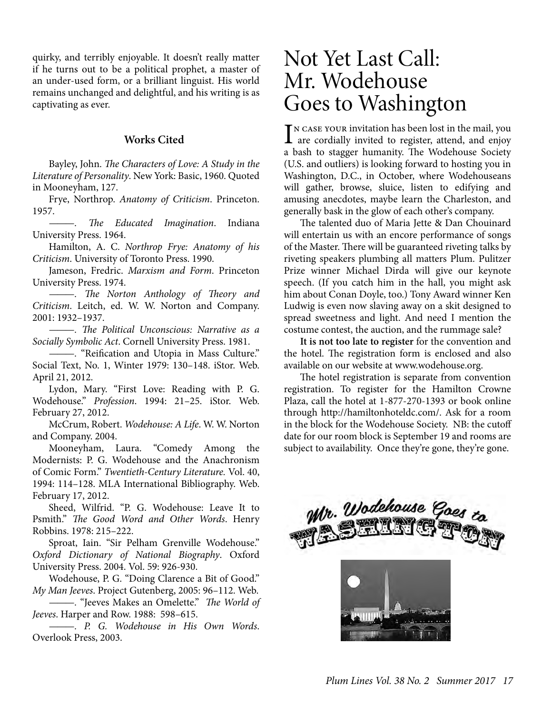quirky, and terribly enjoyable. It doesn't really matter if he turns out to be a political prophet, a master of an under-used form, or a brilliant linguist. His world remains unchanged and delightful, and his writing is as captivating as ever.

#### **Works Cited**

Bayley, John. *The Characters of Love: A Study in the Literature of Personality*. New York: Basic, 1960. Quoted in Mooneyham, 127.

Frye, Northrop. *Anatomy of Criticism*. Princeton. 1957.

*———. The Educated Imagination*. Indiana University Press. 1964.

Hamilton, A. C. *Northrop Frye: Anatomy of his Criticism*. University of Toronto Press. 1990.

Jameson, Fredric. *Marxism and Form*. Princeton University Press. 1974.

*———. The Norton Anthology of Theory and Criticism*. Leitch, ed. W. W. Norton and Company. 2001: 1932–1937.

*———. The Political Unconscious: Narrative as a Socially Symbolic Act*. Cornell University Press. 1981.

*———.* "Reification and Utopia in Mass Culture." Social Text, No. 1, Winter 1979: 130–148. iStor. Web. April 21, 2012.

Lydon, Mary. "First Love: Reading with P. G. Wodehouse." *Profession*. 1994: 21–25. iStor. Web. February 27, 2012.

McCrum, Robert. *Wodehouse: A Life*. W. W. Norton and Company. 2004.

Mooneyham, Laura. "Comedy Among the Modernists: P. G. Wodehouse and the Anachronism of Comic Form." *Twentieth-Century Literature.* Vol. 40, 1994: 114–128. MLA International Bibliography. Web. February 17, 2012.

Sheed, Wilfrid. "P. G. Wodehouse: Leave It to Psmith." *The Good Word and Other Words*. Henry Robbins. 1978: 215–222.

Sproat, Iain. "Sir Pelham Grenville Wodehouse." *Oxford Dictionary of National Biography*. Oxford University Press. 2004. Vol. 59: 926-930.

Wodehouse, P. G. "Doing Clarence a Bit of Good." *My Man Jeeves*. Project Gutenberg, 2005: 96–112. Web.

*———.* "Jeeves Makes an Omelette." *The World of Jeeves*. Harper and Row. 1988: 598–615.

*———. P. G. Wodehouse in His Own Words*. Overlook Press, 2003.

## Not Yet Last Call: Mr. Wodehouse Goes to Washington

IN CASE YOUR invitation has been lost in the mail, you<br>are cordially invited to register, attend, and enjoy are cordially invited to register, attend, and enjoy a bash to stagger humanity. The Wodehouse Society (U.S. and outliers) is looking forward to hosting you in Washington, D.C., in October, where Wodehouseans will gather, browse, sluice, listen to edifying and amusing anecdotes, maybe learn the Charleston, and generally bask in the glow of each other's company.

The talented duo of Maria Jette & Dan Chouinard will entertain us with an encore performance of songs of the Master. There will be guaranteed riveting talks by riveting speakers plumbing all matters Plum. Pulitzer Prize winner Michael Dirda will give our keynote speech. (If you catch him in the hall, you might ask him about Conan Doyle, too.) Tony Award winner Ken Ludwig is even now slaving away on a skit designed to spread sweetness and light. And need I mention the costume contest, the auction, and the rummage sale?

**It is not too late to register** for the convention and the hotel. The registration form is enclosed and also available on our website at www.wodehouse.org.

The hotel registration is separate from convention registration. To register for the Hamilton Crowne Plaza, call the hotel at 1-877-270-1393 or book online through http://hamiltonhoteldc.com/. Ask for a room in the block for the Wodehouse Society. NB: the cutoff date for our room block is September 19 and rooms are subject to availability. Once they're gone, they're gone.

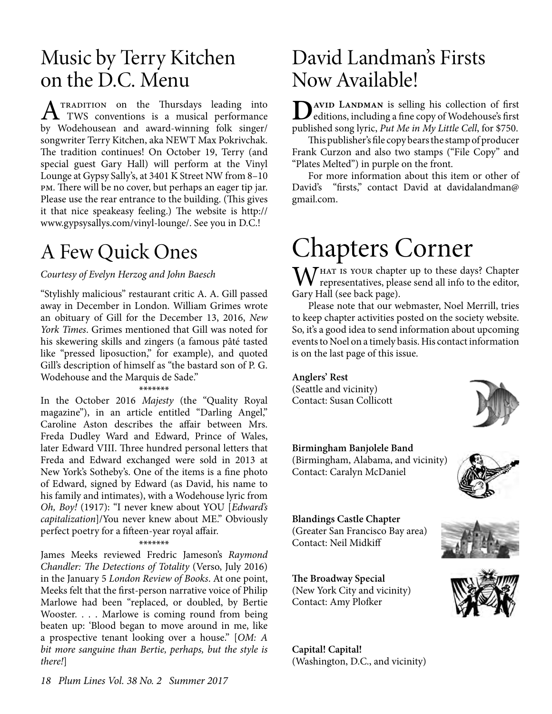## Music by Terry Kitchen on the D.C. Menu

 $A$ <sup>TRADITION</sup> on the Thursdays leading into<br>the W<sub>S</sub> delegation of the musical performance by Wodehousean and award-winning folk singer/ songwriter Terry Kitchen, aka NEWT Max Pokrivchak. The tradition continues! On October 19, Terry (and special guest Gary Hall) will perform at the Vinyl Lounge at Gypsy Sally's, at 3401 K Street NW from 8–10 pm. There will be no cover, but perhaps an eager tip jar. Please use the rear entrance to the building. (This gives it that nice speakeasy feeling.) The website is http:// www.gypsysallys.com/vinyl-lounge/. See you in D.C.!

## A Few Quick Ones

#### *Courtesy of Evelyn Herzog and John Baesch*

"Stylishly malicious" restaurant critic A. A. Gill passed away in December in London. William Grimes wrote an obituary of Gill for the December 13, 2016, *New York Times*. Grimes mentioned that Gill was noted for his skewering skills and zingers (a famous pâté tasted like "pressed liposuction," for example), and quoted Gill's description of himself as "the bastard son of P. G. Wodehouse and the Marquis de Sade."

#### \*\*\*\*\*\*\*

In the October 2016 *Majesty* (the "Quality Royal magazine"), in an article entitled "Darling Angel," Caroline Aston describes the affair between Mrs. Freda Dudley Ward and Edward, Prince of Wales, later Edward VIII. Three hundred personal letters that Freda and Edward exchanged were sold in 2013 at New York's Sotheby's. One of the items is a fine photo of Edward, signed by Edward (as David, his name to his family and intimates), with a Wodehouse lyric from *Oh, Boy!* (1917): "I never knew about YOU [*Edward's capitalization*]/You never knew about ME." Obviously perfect poetry for a fifteen-year royal affair.

#### \*\*\*\*\*\*\*

James Meeks reviewed Fredric Jameson's *Raymond Chandler: The Detections of Totality* (Verso, July 2016) in the January 5 *London Review of Books*. At one point, Meeks felt that the first-person narrative voice of Philip Marlowe had been "replaced, or doubled, by Bertie Wooster. . . . Marlowe is coming round from being beaten up: 'Blood began to move around in me, like a prospective tenant looking over a house." [*OM: A bit more sanguine than Bertie, perhaps, but the style is there!*]

### David Landman's Firsts Now Available!

**D**<br> **D**editions, including a fine copy of Wodehouse's first<br>
worklished a speake is Dut Ma in Ma Little Gall for \$750. published song lyric, *Put Me in My Little Cell*, for \$750.

This publisher's file copy bears the stamp of producer Frank Curzon and also two stamps ("File Copy" and "Plates Melted") in purple on the front.

For more information about this item or other of David's "firsts," contact David at davidalandman@ gmail.com.

# Chapters Corner

WHAT IS YOUR chapter up to these days? Chapter<br>representatives, please send all info to the editor, Gary Hall (see back page).

Please note that our webmaster, Noel Merrill, tries to keep chapter activities posted on the society website. So, it's a good idea to send information about upcoming events to Noel on a timely basis. His contact information is on the last page of this issue.

**Anglers' Rest** (Seattle and vicinity) Contact: Susan Collicott

**Birmingham Banjolele Band** (Birmingham, Alabama, and vicinity) Contact: Caralyn McDaniel



**Blandings Castle Chapter** (Greater San Francisco Bay area) Contact: Neil Midkiff

**The Broadway Special** (New York City and vicinity) Contact: Amy Plofker

**Capital! Capital!**  (Washington, D.C., and vicinity)





*18 Plum Lines Vol. 38 No. 2 Summer 2017*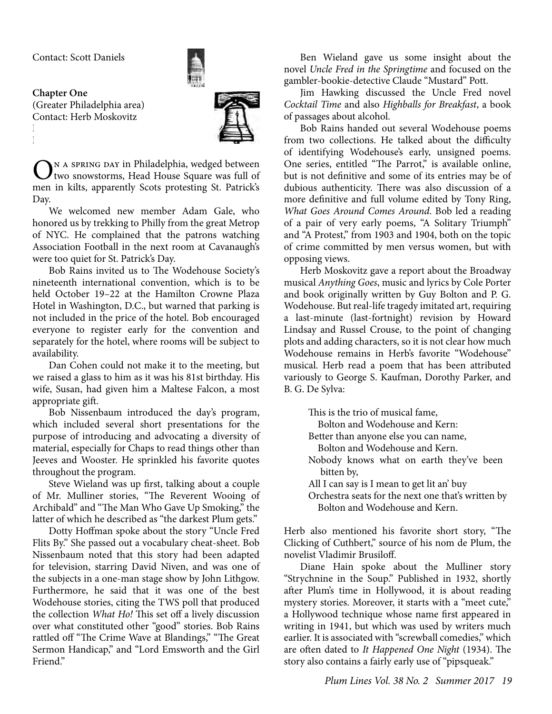

**Chapter One**  (Greater Philadelphia area) Contact: Herb Moskovitz  $\Gamma$ 

E-mail: PhillyPlum@aol.com



N A SPRING DAY in Philadelphia, wedged between two snowstorms, Head House Square was full of men in kilts, apparently Scots protesting St. Patrick's Day.

We welcomed new member Adam Gale, who honored us by trekking to Philly from the great Metrop of NYC. He complained that the patrons watching Association Football in the next room at Cavanaugh's were too quiet for St. Patrick's Day.

Bob Rains invited us to The Wodehouse Society's nineteenth international convention, which is to be held October 19–22 at the Hamilton Crowne Plaza Hotel in Washington, D.C., but warned that parking is not included in the price of the hotel. Bob encouraged everyone to register early for the convention and separately for the hotel, where rooms will be subject to availability.

Dan Cohen could not make it to the meeting, but we raised a glass to him as it was his 81st birthday. His wife, Susan, had given him a Maltese Falcon, a most appropriate gift.

Bob Nissenbaum introduced the day's program, which included several short presentations for the purpose of introducing and advocating a diversity of material, especially for Chaps to read things other than Jeeves and Wooster. He sprinkled his favorite quotes throughout the program.

Steve Wieland was up first, talking about a couple of Mr. Mulliner stories, "The Reverent Wooing of Archibald" and "The Man Who Gave Up Smoking," the latter of which he described as "the darkest Plum gets."

Dotty Hoffman spoke about the story "Uncle Fred Flits By." She passed out a vocabulary cheat-sheet. Bob Nissenbaum noted that this story had been adapted for television, starring David Niven, and was one of the subjects in a one-man stage show by John Lithgow. Furthermore, he said that it was one of the best Wodehouse stories, citing the TWS poll that produced the collection *What Ho!* This set off a lively discussion over what constituted other "good" stories. Bob Rains rattled off "The Crime Wave at Blandings," "The Great Sermon Handicap," and "Lord Emsworth and the Girl Friend"

Ben Wieland gave us some insight about the novel *Uncle Fred in the Springtime* and focused on the gambler-bookie-detective Claude "Mustard" Pott.

Jim Hawking discussed the Uncle Fred novel *Cocktail Time* and also *Highballs for Breakfast*, a book of passages about alcohol.

Bob Rains handed out several Wodehouse poems from two collections. He talked about the difficulty of identifying Wodehouse's early, unsigned poems. One series, entitled "The Parrot," is available online, but is not definitive and some of its entries may be of dubious authenticity. There was also discussion of a more definitive and full volume edited by Tony Ring, *What Goes Around Comes Around*. Bob led a reading of a pair of very early poems, "A Solitary Triumph" and "A Protest," from 1903 and 1904, both on the topic of crime committed by men versus women, but with opposing views.

Herb Moskovitz gave a report about the Broadway musical *Anything Goes*, music and lyrics by Cole Porter and book originally written by Guy Bolton and P. G. Wodehouse. But real-life tragedy imitated art, requiring a last-minute (last-fortnight) revision by Howard Lindsay and Russel Crouse, to the point of changing plots and adding characters, so it is not clear how much Wodehouse remains in Herb's favorite "Wodehouse" musical. Herb read a poem that has been attributed variously to George S. Kaufman, Dorothy Parker, and B. G. De Sylva:

> This is the trio of musical fame, Bolton and Wodehouse and Kern: Better than anyone else you can name, Bolton and Wodehouse and Kern. Nobody knows what on earth they've been bitten by, All I can say is I mean to get lit an' buy Orchestra seats for the next one that's written by Bolton and Wodehouse and Kern.

Herb also mentioned his favorite short story, "The Clicking of Cuthbert," source of his nom de Plum, the novelist Vladimir Brusiloff.

Diane Hain spoke about the Mulliner story "Strychnine in the Soup." Published in 1932, shortly after Plum's time in Hollywood, it is about reading mystery stories. Moreover, it starts with a "meet cute," a Hollywood technique whose name first appeared in writing in 1941, but which was used by writers much earlier. It is associated with "screwball comedies," which are often dated to *It Happened One Night* (1934). The story also contains a fairly early use of "pipsqueak."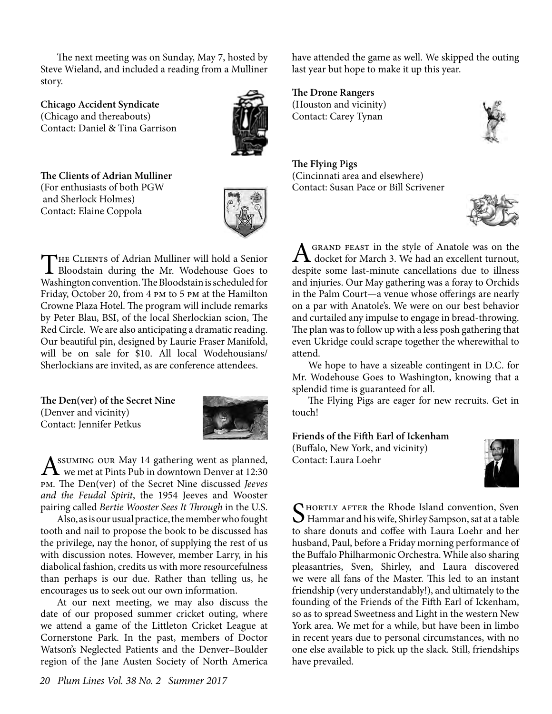The next meeting was on Sunday, May 7, hosted by Steve Wieland, and included a reading from a Mulliner story.

**Chicago Accident Syndicate** (Chicago and thereabouts) Contact: Daniel & Tina Garrison



**The Clients of Adrian Mulliner** (For enthusiasts of both PGW and Sherlock Holmes) Contact: Elaine Coppola



THE CLIENTS of Adrian Mulliner will hold a Senior<br>Bloodstain during the Mr. Wodehouse Goes to Washington convention. The Bloodstain is scheduled for Friday, October 20, from 4 pm to 5 pm at the Hamilton Crowne Plaza Hotel. The program will include remarks by Peter Blau, BSI, of the local Sherlockian scion, The Red Circle. We are also anticipating a dramatic reading. Our beautiful pin, designed by Laurie Fraser Manifold, will be on sale for \$10. All local Wodehousians/ Sherlockians are invited, as are conference attendees.

**The Den(ver) of the Secret Nine** (Denver and vicinity) Contact: Jennifer Petkus



 $A^{\text{SUMING}}$  our May 14 gathering went as planned,<br>we met at Pints Pub in downtown Denver at 12:30 pm. The Den(ver) of the Secret Nine discussed *Jeeves and the Feudal Spirit*, the 1954 Jeeves and Wooster pairing called *Bertie Wooster Sees It Through* in the U.S.

Also, as is our usual practice, the member who fought tooth and nail to propose the book to be discussed has the privilege, nay the honor, of supplying the rest of us with discussion notes. However, member Larry, in his diabolical fashion, credits us with more resourcefulness than perhaps is our due. Rather than telling us, he encourages us to seek out our own information.

At our next meeting, we may also discuss the date of our proposed summer cricket outing, where we attend a game of the Littleton Cricket League at Cornerstone Park. In the past, members of Doctor Watson's Neglected Patients and the Denver–Boulder region of the Jane Austen Society of North America

have attended the game as well. We skipped the outing last year but hope to make it up this year.

**The Drone Rangers** (Houston and vicinity) Contact: Carey Tynan

**The Flying Pigs** (Cincinnati area and elsewhere) Contact: Susan Pace or Bill Scrivener



A GRAND FEAST in the style of Anatole was on the<br>docket for March 3. We had an excellent turnout, despite some last-minute cancellations due to illness and injuries. Our May gathering was a foray to Orchids in the Palm Court—a venue whose offerings are nearly on a par with Anatole's. We were on our best behavior and curtailed any impulse to engage in bread-throwing. The plan was to follow up with a less posh gathering that even Ukridge could scrape together the wherewithal to attend.

We hope to have a sizeable contingent in D.C. for Mr. Wodehouse Goes to Washington, knowing that a splendid time is guaranteed for all.

The Flying Pigs are eager for new recruits. Get in touch!

#### **Friends of the Fifth Earl of Ickenham**

(Buffalo, New York, and vicinity) Contact: Laura Loehr



SHORTLY AFTER the Rhode Island convention, Sven<br>Hammar and his wife, Shirley Sampson, sat at a table to share donuts and coffee with Laura Loehr and her husband, Paul, before a Friday morning performance of the Buffalo Philharmonic Orchestra. While also sharing pleasantries, Sven, Shirley, and Laura discovered we were all fans of the Master. This led to an instant friendship (very understandably!), and ultimately to the founding of the Friends of the Fifth Earl of Ickenham, so as to spread Sweetness and Light in the western New York area. We met for a while, but have been in limbo in recent years due to personal circumstances, with no one else available to pick up the slack. Still, friendships have prevailed.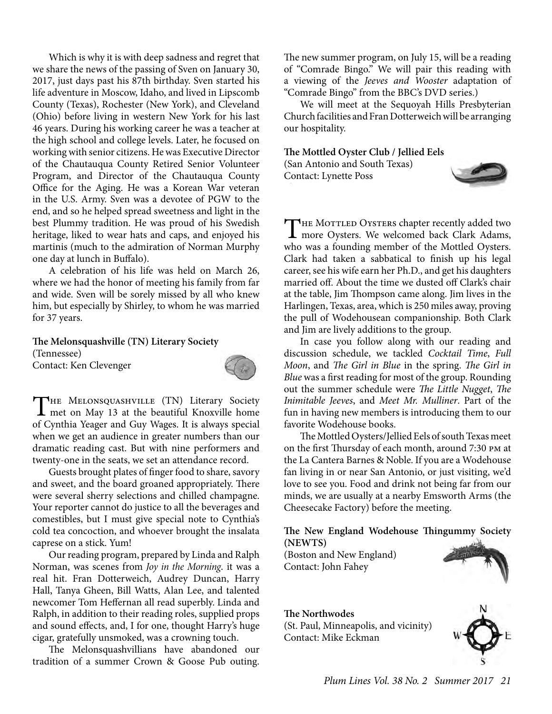Which is why it is with deep sadness and regret that we share the news of the passing of Sven on January 30, 2017, just days past his 87th birthday. Sven started his life adventure in Moscow, Idaho, and lived in Lipscomb County (Texas), Rochester (New York), and Cleveland (Ohio) before living in western New York for his last 46 years. During his working career he was a teacher at the high school and college levels. Later, he focused on working with senior citizens. He was Executive Director of the Chautauqua County Retired Senior Volunteer Program, and Director of the Chautauqua County Office for the Aging. He was a Korean War veteran in the U.S. Army. Sven was a devotee of PGW to the end, and so he helped spread sweetness and light in the best Plummy tradition. He was proud of his Swedish heritage, liked to wear hats and caps, and enjoyed his martinis (much to the admiration of Norman Murphy one day at lunch in Buffalo).

A celebration of his life was held on March 26, where we had the honor of meeting his family from far and wide. Sven will be sorely missed by all who knew him, but especially by Shirley, to whom he was married for 37 years.

**The Melonsquashville (TN) Literary Society** (Tennessee) Contact: Ken Clevenger



THE MELONSQUASHVILLE (TN) Literary Society<br>met on May 13 at the beautiful Knoxville home<br>of Cantlin Means at Cantlinear It is shown movied. of Cynthia Yeager and Guy Wages. It is always special when we get an audience in greater numbers than our dramatic reading cast. But with nine performers and twenty-one in the seats, we set an attendance record.

Guests brought plates of finger food to share, savory and sweet, and the board groaned appropriately. There were several sherry selections and chilled champagne. Your reporter cannot do justice to all the beverages and comestibles, but I must give special note to Cynthia's cold tea concoction, and whoever brought the insalata caprese on a stick. Yum!

Our reading program, prepared by Linda and Ralph Norman, was scenes from *Joy in the Morning*. it was a real hit. Fran Dotterweich, Audrey Duncan, Harry Hall, Tanya Gheen, Bill Watts, Alan Lee, and talented newcomer Tom Heffernan all read superbly. Linda and Ralph, in addition to their reading roles, supplied props and sound effects, and, I for one, thought Harry's huge cigar, gratefully unsmoked, was a crowning touch.

The Melonsquashvillians have abandoned our tradition of a summer Crown & Goose Pub outing.

The new summer program, on July 15, will be a reading of "Comrade Bingo." We will pair this reading with a viewing of the *Jeeves and Wooster* adaptation of "Comrade Bingo" from the BBC's DVD series.)

We will meet at the Sequoyah Hills Presbyterian Church facilities and Fran Dotterweich will be arranging our hospitality.

#### **The Mottled Oyster Club / Jellied Eels**

(San Antonio and South Texas) Contact: Lynette Poss



THE MOTTLED OYSTERS chapter recently added two<br>more Oysters. We welcomed back Clark Adams, who was a founding member of the Mottled Oysters. Clark had taken a sabbatical to finish up his legal career, see his wife earn her Ph.D., and get his daughters married off. About the time we dusted off Clark's chair at the table, Jim Thompson came along. Jim lives in the Harlingen, Texas, area, which is 250 miles away, proving the pull of Wodehousean companionship. Both Clark and Jim are lively additions to the group.

In case you follow along with our reading and discussion schedule, we tackled *Cocktail Time*, *Full Moon*, and *The Girl in Blue* in the spring. *The Girl in Blue* was a first reading for most of the group. Rounding out the summer schedule were *The Little Nugget*, *The Inimitable Jeeves*, and *Meet Mr. Mulliner*. Part of the fun in having new members is introducing them to our favorite Wodehouse books.

The Mottled Oysters/Jellied Eels of south Texas meet on the first Thursday of each month, around 7:30 pm at the La Cantera Barnes & Noble. If you are a Wodehouse fan living in or near San Antonio, or just visiting, we'd love to see you. Food and drink not being far from our minds, we are usually at a nearby Emsworth Arms (the Cheesecake Factory) before the meeting.

**The New England Wodehouse Thingummy Society (NEWTS)**

(Boston and New England) Contact: John Fahey



**The Northwodes** (St. Paul, Minneapolis, and vicinity) Contact: Mike Eckman

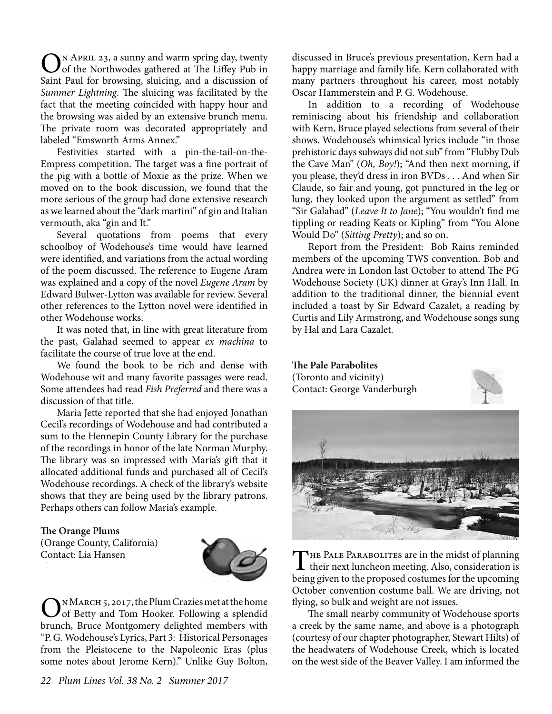ON APRIL 23, a sunny and warm spring day, twenty<br>
of the Northwodes gathered at The Liffey Pub in Saint Paul for browsing, sluicing, and a discussion of *Summer Lightning*. The sluicing was facilitated by the fact that the meeting coincided with happy hour and the browsing was aided by an extensive brunch menu. The private room was decorated appropriately and labeled "Emsworth Arms Annex."

Festivities started with a pin-the-tail-on-the-Empress competition. The target was a fine portrait of the pig with a bottle of Moxie as the prize. When we moved on to the book discussion, we found that the more serious of the group had done extensive research as we learned about the "dark martini" of gin and Italian vermouth, aka "gin and It."

Several quotations from poems that every schoolboy of Wodehouse's time would have learned were identified, and variations from the actual wording of the poem discussed. The reference to Eugene Aram was explained and a copy of the novel *Eugene Aram* by Edward Bulwer-Lytton was available for review. Several other references to the Lytton novel were identified in other Wodehouse works.

It was noted that, in line with great literature from the past, Galahad seemed to appear *ex machina* to facilitate the course of true love at the end.

We found the book to be rich and dense with Wodehouse wit and many favorite passages were read. Some attendees had read *Fish Preferred* and there was a discussion of that title.

Maria Jette reported that she had enjoyed Jonathan Cecil's recordings of Wodehouse and had contributed a sum to the Hennepin County Library for the purchase of the recordings in honor of the late Norman Murphy. The library was so impressed with Maria's gift that it allocated additional funds and purchased all of Cecil's Wodehouse recordings. A check of the library's website shows that they are being used by the library patrons. Perhaps others can follow Maria's example.

#### **The Orange Plums**

(Orange County, California) Contact: Lia Hansen



ON MARCH 5, 2017, the Plum Crazies met at the home<br>of Betty and Tom Hooker. Following a splendid brunch, Bruce Montgomery delighted members with "P. G. Wodehouse's Lyrics, Part 3: Historical Personages from the Pleistocene to the Napoleonic Eras (plus some notes about Jerome Kern)." Unlike Guy Bolton,

discussed in Bruce's previous presentation, Kern had a happy marriage and family life. Kern collaborated with many partners throughout his career, most notably Oscar Hammerstein and P. G. Wodehouse.

In addition to a recording of Wodehouse reminiscing about his friendship and collaboration with Kern, Bruce played selections from several of their shows. Wodehouse's whimsical lyrics include "in those prehistoric days subways did not sub" from "Flubby Dub the Cave Man" (*Oh, Boy!*); "And then next morning, if you please, they'd dress in iron BVDs . . . And when Sir Claude, so fair and young, got punctured in the leg or lung, they looked upon the argument as settled" from "Sir Galahad" (*Leave It to Jane*); "You wouldn't find me tippling or reading Keats or Kipling" from "You Alone Would Do" (*Sitting Pretty*); and so on.

Report from the President: Bob Rains reminded members of the upcoming TWS convention. Bob and Andrea were in London last October to attend The PG Wodehouse Society (UK) dinner at Gray's Inn Hall. In addition to the traditional dinner, the biennial event included a toast by Sir Edward Cazalet, a reading by Curtis and Lily Armstrong, and Wodehouse songs sung by Hal and Lara Cazalet.

**The Pale Parabolites** (Toronto and vicinity) Contact: George Vanderburgh





THE PALE PARABOLITES are in the midst of planning<br>their next luncheon meeting. Also, consideration is being given to the proposed costumes for the upcoming October convention costume ball. We are driving, not flying, so bulk and weight are not issues.

The small nearby community of Wodehouse sports a creek by the same name, and above is a photograph (courtesy of our chapter photographer, Stewart Hilts) of the headwaters of Wodehouse Creek, which is located on the west side of the Beaver Valley. I am informed the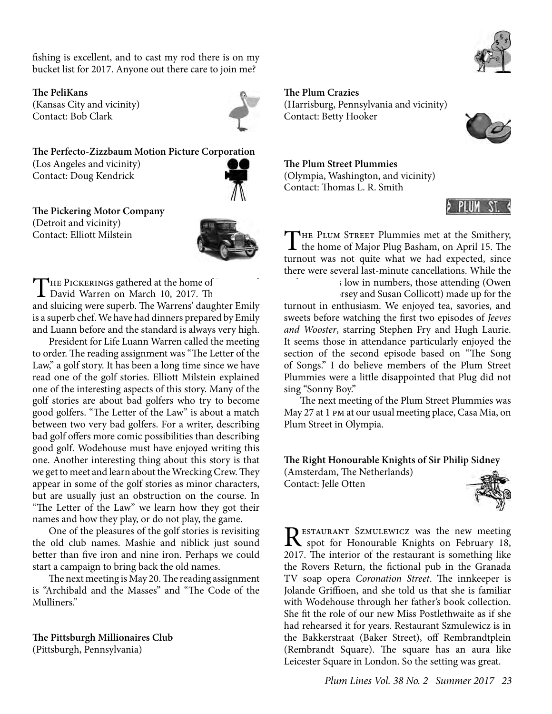fishing is excellent, and to cast my rod there is on my bucket list for 2017. Anyone out there care to join me?

**The PeliKans**

(Kansas City and vicinity) Contact: Bob Clark



**The Perfecto-Zizzbaum Motion Picture Corporation** (Los Angeles and vicinity) Contact: Doug Kendrick



**The Pickering Motor Company** (Detroit and vicinity) Contact: Elliott Milstein



THE PICKERINGS gathered at the home of David Warren on March 10, 2017. Th and sluicing were superb. The Warrens' daughter Emily is a superb chef. We have had dinners prepared by Emily and Luann before and the standard is always very high.

President for Life Luann Warren called the meeting to order. The reading assignment was "The Letter of the Law," a golf story. It has been a long time since we have read one of the golf stories. Elliott Milstein explained one of the interesting aspects of this story. Many of the golf stories are about bad golfers who try to become good golfers. "The Letter of the Law" is about a match between two very bad golfers. For a writer, describing bad golf offers more comic possibilities than describing good golf. Wodehouse must have enjoyed writing this one. Another interesting thing about this story is that we get to meet and learn about the Wrecking Crew. They appear in some of the golf stories as minor characters, but are usually just an obstruction on the course. In "The Letter of the Law" we learn how they got their names and how they play, or do not play, the game.

One of the pleasures of the golf stories is revisiting the old club names. Mashie and niblick just sound better than five iron and nine iron. Perhaps we could start a campaign to bring back the old names.

The next meeting is May 20. The reading assignment is "Archibald and the Masses" and "The Code of the Mulliners."

### **The Pittsburgh Millionaires Club**

(Pittsburgh, Pennsylvania)

**The Plum Crazies** (Harrisburg, Pennsylvania and vicinity) Contact: Betty Hooker

**The Plum Street Plummies** (Olympia, Washington, and vicinity) Contact: Thomas L. R. Smith



THE PLUM STREET Plummies met at the Smithery,<br>the home of Major Plug Basham, on April 15. The turnout was not quite what we had expected, since there were several last-minute cancellations. While the

; low in numbers, those attending (Owen rsey and Susan Collicott) made up for the

turnout in enthusiasm. We enjoyed tea, savories, and sweets before watching the first two episodes of *Jeeves and Wooster*, starring Stephen Fry and Hugh Laurie. It seems those in attendance particularly enjoyed the section of the second episode based on "The Song of Songs." I do believe members of the Plum Street Plummies were a little disappointed that Plug did not sing "Sonny Boy."

The next meeting of the Plum Street Plummies was May 27 at 1 pm at our usual meeting place, Casa Mia, on Plum Street in Olympia.

**The Right Honourable Knights of Sir Philip Sidney**

(Amsterdam, The Netherlands) Contact: Jelle Otten



RESTAURANT SZMULEWICZ was the new meeting<br>spot for Honourable Knights on February 18, 2017. The interior of the restaurant is something like the Rovers Return, the fictional pub in the Granada TV soap opera *Coronation Street*. The innkeeper is Jolande Griffioen, and she told us that she is familiar with Wodehouse through her father's book collection. She fit the role of our new Miss Postlethwaite as if she had rehearsed it for years. Restaurant Szmulewicz is in the Bakkerstraat (Baker Street), off Rembrandtplein (Rembrandt Square). The square has an aura like Leicester Square in London. So the setting was great.